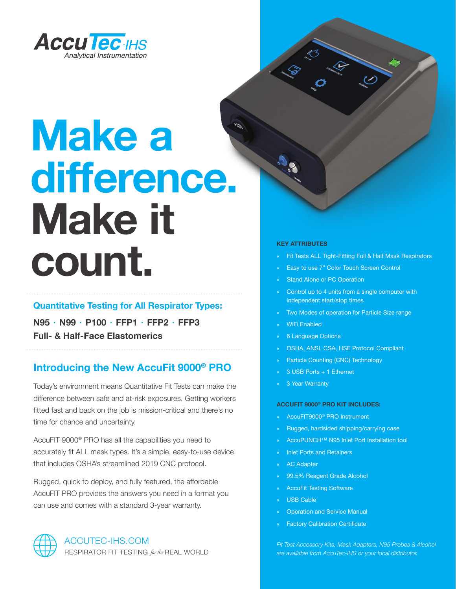

# **Make a difference. Make it count.**

## **Quantitative Testing for All Respirator Types:**

**N95 ∙ N99 ∙ P100 ∙ FFP1 ∙ FFP2 ∙ FFP3 Full- & Half-Face Elastomerics**

# **Introducing the New AccuFit 9000® PRO**

Today's environment means Quantitative Fit Tests can make the difference between safe and at-risk exposures. Getting workers fitted fast and back on the job is mission-critical and there's no time for chance and uncertainty.

AccuFIT 9000® PRO has all the capabilities you need to accurately fit ALL mask types. It's a simple, easy-to-use device that includes OSHA's streamlined 2019 CNC protocol.

Rugged, quick to deploy, and fully featured, the affordable AccuFIT PRO provides the answers you need in a format you can use and comes with a standard 3-year warranty.

## ACCUTEC-IHS.COM RESPIRATOR FIT TESTING *for the* REAL WORLD

#### **KEY ATTRIBUTES**

- » Fit Tests ALL Tight-Fitting Full & Half Mask Respirators
- Easy to use 7" Color Touch Screen Control
- Stand Alone or PC Operation
- Control up to 4 units from a single computer with independent start/stop times
- Two Modes of operation for Particle Size range
- » WiFi Enabled
- » 6 Language Options
- » OSHA, ANSI, CSA, HSE Protocol Compliant
- » Particle Counting (CNC) Technology
- » 3 USB Ports + 1 Ethernet
- 3 Year Warranty

#### **ACCUFIT 9000® PRO KIT INCLUDES:**

- » AccuFIT9000® PRO Instrument
- » Rugged, hardsided shipping/carrying case
- » AccuPUNCH™ N95 Inlet Port Installation tool
- » Inlet Ports and Retainers
- AC Adapter
- » 99.5% Reagent Grade Alcohol
- » AccuFit Testing Software
- » USB Cable
- » Operation and Service Manual
- » Factory Calibration Certificate

*Fit Test Accessory Kits, Mask Adapters, N95 Probes & Alcohol are available from AccuTec-IHS or your local distributor.*